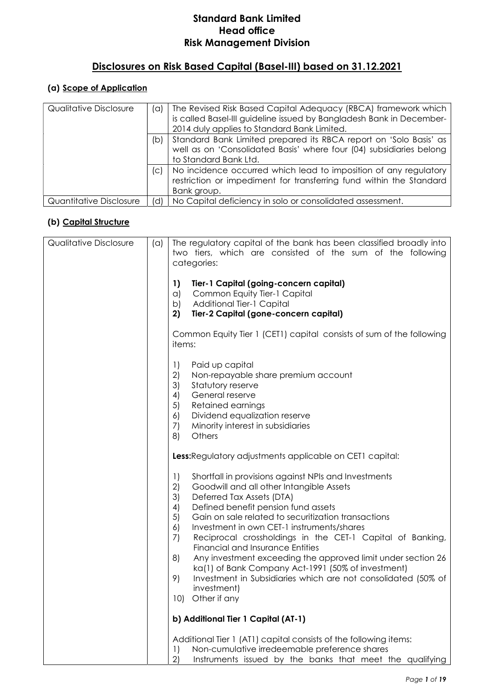# Disclosures on Risk Based Capital (Basel-III) based on 31.12.2021

# (a) Scope of Application

| Qualitative Disclosure  | (a) | The Revised Risk Based Capital Adequacy (RBCA) framework which<br>is called Basel-III guideline issued by Bangladesh Bank in December-<br>2014 duly applies to Standard Bank Limited. |
|-------------------------|-----|---------------------------------------------------------------------------------------------------------------------------------------------------------------------------------------|
|                         | (b) | Standard Bank Limited prepared its RBCA report on 'Solo Basis' as<br>well as on 'Consolidated Basis' where four (04) subsidiaries belong<br>to Standard Bank Ltd.                     |
|                         | (C) | No incidence occurred which lead to imposition of any regulatory<br>restriction or impediment for transferring fund within the Standard<br>Bank group.                                |
| Quantitative Disclosure | (d) | No Capital deficiency in solo or consolidated assessment.                                                                                                                             |

#### (b) Capital Structure

| <b>Qualitative Disclosure</b> | (a) | The regulatory capital of the bank has been classified broadly into<br>two tiers, which are consisted of the sum of the following<br>categories:                                                                                                                                                                                                                                                                                                                                                                                                                                                                                                                                   |
|-------------------------------|-----|------------------------------------------------------------------------------------------------------------------------------------------------------------------------------------------------------------------------------------------------------------------------------------------------------------------------------------------------------------------------------------------------------------------------------------------------------------------------------------------------------------------------------------------------------------------------------------------------------------------------------------------------------------------------------------|
|                               |     | 1)<br>Tier-1 Capital (going-concern capital)<br>Common Equity Tier-1 Capital<br>$\alpha$ )<br><b>Additional Tier-1 Capital</b><br>b)<br>2)<br>Tier-2 Capital (gone-concern capital)                                                                                                                                                                                                                                                                                                                                                                                                                                                                                                |
|                               |     | Common Equity Tier 1 (CET1) capital consists of sum of the following<br>items:                                                                                                                                                                                                                                                                                                                                                                                                                                                                                                                                                                                                     |
|                               |     | $\left  \right $<br>Paid up capital<br>2)<br>Non-repayable share premium account<br>3)<br>Statutory reserve<br>4)<br>General reserve<br>5)<br>Retained earnings<br>6)<br>Dividend equalization reserve<br>7)<br>Minority interest in subsidiaries<br>Others<br>8)                                                                                                                                                                                                                                                                                                                                                                                                                  |
|                               |     | Less: Regulatory adjustments applicable on CET1 capital:                                                                                                                                                                                                                                                                                                                                                                                                                                                                                                                                                                                                                           |
|                               |     | Shortfall in provisions against NPIs and Investments<br>$\left  \right $<br>2)<br>Goodwill and all other Intangible Assets<br>3)<br>Deferred Tax Assets (DTA)<br>Defined benefit pension fund assets<br>4)<br>5)<br>Gain on sale related to securitization transactions<br>Investment in own CET-1 instruments/shares<br>6)<br>7)<br>Reciprocal crossholdings in the CET-1 Capital of Banking,<br><b>Financial and Insurance Entities</b><br>Any investment exceeding the approved limit under section 26<br>8)<br>ka(1) of Bank Company Act-1991 (50% of investment)<br>9)<br>Investment in Subsidiaries which are not consolidated (50% of<br>investment)<br>Other if any<br>10) |
|                               |     | b) Additional Tier 1 Capital (AT-1)                                                                                                                                                                                                                                                                                                                                                                                                                                                                                                                                                                                                                                                |
|                               |     | Additional Tier 1 (AT1) capital consists of the following items:<br>1)<br>Non-cumulative irredeemable preference shares<br>2)<br>Instruments issued by the banks that meet the qualifying                                                                                                                                                                                                                                                                                                                                                                                                                                                                                          |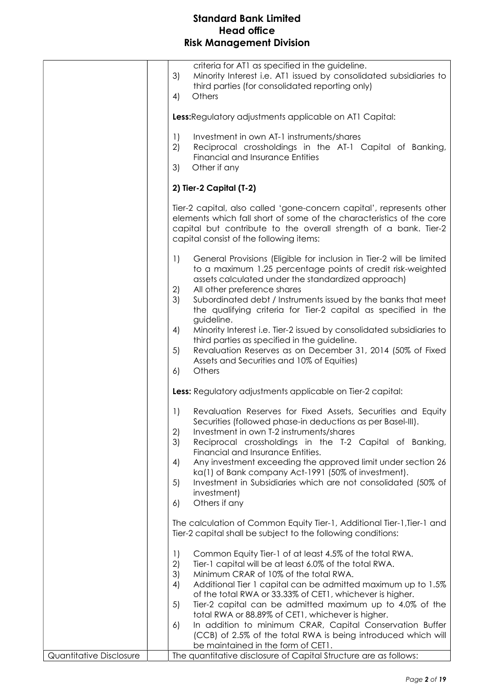|                         | criteria for AT1 as specified in the guideline.<br>3)<br>Minority Interest i.e. AT1 issued by consolidated subsidiaries to<br>third parties (for consolidated reporting only)<br>4)<br>Others<br>Less: Regulatory adjustments applicable on AT1 Capital:<br>Investment in own AT-1 instruments/shares<br>$\left  \right $<br>2)<br>Reciprocal crossholdings in the AT-1 Capital of Banking,<br><b>Financial and Insurance Entities</b><br>Other if any<br>3)                                                                                                                                                                                                |
|-------------------------|-------------------------------------------------------------------------------------------------------------------------------------------------------------------------------------------------------------------------------------------------------------------------------------------------------------------------------------------------------------------------------------------------------------------------------------------------------------------------------------------------------------------------------------------------------------------------------------------------------------------------------------------------------------|
|                         | 2) Tier-2 Capital (T-2)                                                                                                                                                                                                                                                                                                                                                                                                                                                                                                                                                                                                                                     |
|                         | Tier-2 capital, also called 'gone-concern capital', represents other<br>elements which fall short of some of the characteristics of the core<br>capital but contribute to the overall strength of a bank. Tier-2<br>capital consist of the following items:                                                                                                                                                                                                                                                                                                                                                                                                 |
|                         | General Provisions (Eligible for inclusion in Tier-2 will be limited<br>1)<br>to a maximum 1.25 percentage points of credit risk-weighted<br>assets calculated under the standardized approach)<br>All other preference shares<br>2)<br>3)<br>Subordinated debt / Instruments issued by the banks that meet<br>the qualifying criteria for Tier-2 capital as specified in the<br>guideline.<br>4)<br>Minority Interest i.e. Tier-2 issued by consolidated subsidiaries to<br>third parties as specified in the guideline.<br>Revaluation Reserves as on December 31, 2014 (50% of Fixed<br>5)<br>Assets and Securities and 10% of Equities)<br>Others<br>6) |
|                         | Less: Regulatory adjustments applicable on Tier-2 capital:                                                                                                                                                                                                                                                                                                                                                                                                                                                                                                                                                                                                  |
|                         | Revaluation Reserves for Fixed Assets, Securities and Equity<br>1)<br>Securities (followed phase-in deductions as per Basel-III).<br>2)<br>Investment in own T-2 instruments/shares<br>3)<br>Reciprocal crossholdings in the T-2 Capital of Banking,<br>Financial and Insurance Entities.<br>Any investment exceeding the approved limit under section 26<br>4)<br>ka(1) of Bank company Act-1991 (50% of investment).<br>5)<br>Investment in Subsidiaries which are not consolidated (50% of<br>investment)<br>Others if any<br>6)                                                                                                                         |
|                         | The calculation of Common Equity Tier-1, Additional Tier-1, Tier-1 and<br>Tier-2 capital shall be subject to the following conditions:                                                                                                                                                                                                                                                                                                                                                                                                                                                                                                                      |
|                         | Common Equity Tier-1 of at least 4.5% of the total RWA.<br>1)<br>2)<br>Tier-1 capital will be at least 6.0% of the total RWA.<br>3)<br>Minimum CRAR of 10% of the total RWA.<br>4)<br>Additional Tier 1 capital can be admitted maximum up to 1.5%<br>of the total RWA or 33.33% of CET1, whichever is higher.<br>5)<br>Tier-2 capital can be admitted maximum up to 4.0% of the<br>total RWA or 88.89% of CET1, whichever is higher.<br>In addition to minimum CRAR, Capital Conservation Buffer<br>6)<br>(CCB) of 2.5% of the total RWA is being introduced which will<br>be maintained in the form of CET1.                                              |
| Quantitative Disclosure | The quantitative disclosure of Capital Structure are as follows:                                                                                                                                                                                                                                                                                                                                                                                                                                                                                                                                                                                            |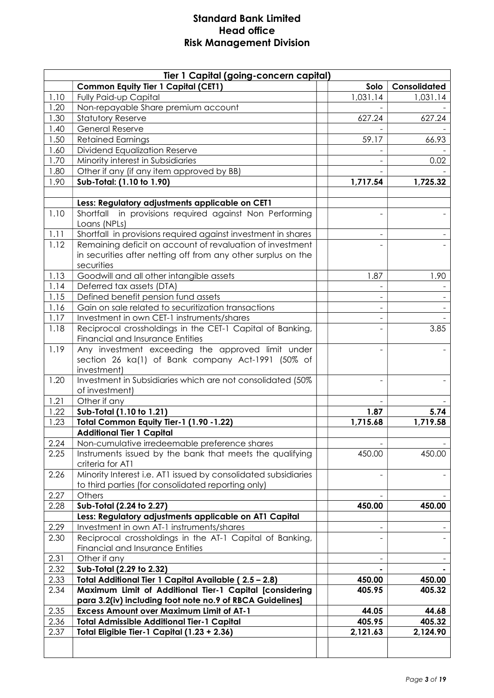|      | Tier 1 Capital (going-concern capital)                                                                               |                          |              |
|------|----------------------------------------------------------------------------------------------------------------------|--------------------------|--------------|
|      | <b>Common Equity Tier 1 Capital (CET1)</b>                                                                           | Solo                     | Consolidated |
| 1.10 | Fully Paid-up Capital                                                                                                | 1,031.14                 | 1,031.14     |
| 1.20 | Non-repayable Share premium account                                                                                  |                          |              |
| 1.30 | <b>Statutory Reserve</b>                                                                                             | 627.24                   | 627.24       |
| 1.40 | <b>General Reserve</b>                                                                                               |                          |              |
| 1.50 | <b>Retained Earnings</b>                                                                                             | 59.17                    | 66.93        |
| 1.60 | Dividend Equalization Reserve                                                                                        |                          |              |
| 1.70 | Minority interest in Subsidiaries                                                                                    |                          | 0.02         |
| 1.80 | Other if any (if any item approved by BB)                                                                            |                          |              |
| 1.90 | Sub-Total: (1.10 to 1.90)                                                                                            | 1,717.54                 | 1,725.32     |
|      | Less: Regulatory adjustments applicable on CET1                                                                      |                          |              |
| 1.10 | Shortfall in provisions required against Non Performing                                                              |                          |              |
|      | Loans (NPLs)                                                                                                         |                          |              |
| 1.11 | Shortfall in provisions required against investment in shares                                                        |                          |              |
| 1.12 | Remaining deficit on account of revaluation of investment                                                            |                          |              |
|      | in securities after netting off from any other surplus on the                                                        |                          |              |
|      | securities                                                                                                           |                          |              |
| 1.13 | Goodwill and all other intangible assets                                                                             | 1.87                     | 1.90         |
| 1.14 | Deferred tax assets (DTA)                                                                                            |                          |              |
| 1.15 | Defined benefit pension fund assets                                                                                  | $\overline{\phantom{a}}$ |              |
| 1.16 | Gain on sale related to securitization transactions                                                                  | $\overline{\phantom{a}}$ |              |
| 1.17 | Investment in own CET-1 instruments/shares                                                                           |                          |              |
| 1.18 | Reciprocal crossholdings in the CET-1 Capital of Banking,                                                            |                          | 3.85         |
|      | Financial and Insurance Entities                                                                                     |                          |              |
| 1.19 | Any investment exceeding the approved limit under                                                                    |                          |              |
|      | section 26 ka(1) of Bank company Act-1991 (50% of                                                                    |                          |              |
| 1.20 | investment)<br>Investment in Subsidiaries which are not consolidated (50%                                            |                          |              |
|      | of investment)                                                                                                       |                          |              |
| 1.21 | Other if any                                                                                                         |                          |              |
| 1.22 | Sub-Total (1.10 to 1.21)                                                                                             | 1.87                     | 5.74         |
| 1.23 | Total Common Equity Tier-1 (1.90 -1.22)                                                                              | 1,715.68                 | 1,719.58     |
|      | <b>Additional Tier 1 Capital</b>                                                                                     |                          |              |
| 2.24 | Non-cumulative irredeemable preference shares                                                                        |                          |              |
| 2.25 | Instruments issued by the bank that meets the qualifying                                                             | 450.00                   | 450.00       |
|      | criteria for AT1                                                                                                     |                          |              |
| 2.26 | Minority Interest i.e. ATI issued by consolidated subsidiaries                                                       |                          |              |
|      | to third parties (for consolidated reporting only)                                                                   |                          |              |
| 2.27 | Others                                                                                                               |                          |              |
| 2.28 | Sub-Total (2.24 to 2.27)                                                                                             | 450.00                   | 450.00       |
|      | Less: Regulatory adjustments applicable on AT1 Capital                                                               |                          |              |
| 2.29 | Investment in own AT-1 instruments/shares                                                                            |                          |              |
| 2.30 | Reciprocal crossholdings in the AT-1 Capital of Banking,                                                             |                          |              |
|      | Financial and Insurance Entities                                                                                     |                          |              |
| 2.31 | Other if any                                                                                                         |                          |              |
| 2.32 | Sub-Total (2.29 to 2.32)                                                                                             |                          |              |
| 2.33 | Total Additional Tier 1 Capital Available (2.5 - 2.8)                                                                | 450.00                   | 450.00       |
| 2.34 | Maximum Limit of Additional Tier-1 Capital [considering<br>para 3.2(iv) including foot note no.9 of RBCA Guidelines] | 405.95                   | 405.32       |
| 2.35 | <b>Excess Amount over Maximum Limit of AT-1</b>                                                                      | 44.05                    | 44.68        |
| 2.36 | <b>Total Admissible Additional Tier-1 Capital</b>                                                                    | 405.95                   | 405.32       |
| 2.37 | Total Eligible Tier-1 Capital (1.23 + 2.36)                                                                          | 2,121.63                 | 2,124.90     |
|      |                                                                                                                      |                          |              |
|      |                                                                                                                      |                          |              |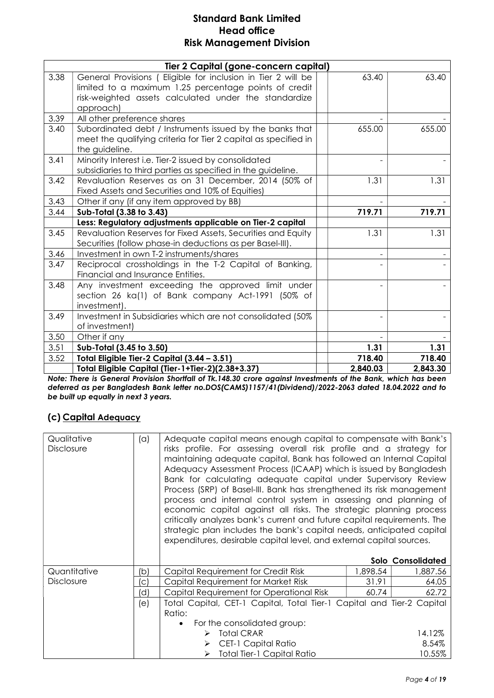|      | Tier 2 Capital (gone-concern capital)                                                                                                                                                       |          |          |
|------|---------------------------------------------------------------------------------------------------------------------------------------------------------------------------------------------|----------|----------|
| 3.38 | General Provisions (Eligible for inclusion in Tier 2 will be<br>limited to a maximum 1.25 percentage points of credit<br>risk-weighted assets calculated under the standardize<br>approach) | 63.40    | 63.40    |
| 3.39 | All other preference shares                                                                                                                                                                 |          |          |
| 3.40 | Subordinated debt / Instruments issued by the banks that<br>meet the qualifying criteria for Tier 2 capital as specified in<br>the guideline.                                               | 655.00   | 655.00   |
| 3.41 | Minority Interest i.e. Tier-2 issued by consolidated                                                                                                                                        |          |          |
|      | subsidiaries to third parties as specified in the guideline.                                                                                                                                |          |          |
| 3.42 | Revaluation Reserves as on 31 December, 2014 (50% of<br>Fixed Assets and Securities and 10% of Equities)                                                                                    | 1.31     | 1.31     |
| 3.43 | Other if any (if any item approved by BB)                                                                                                                                                   |          |          |
| 3.44 | Sub-Total (3.38 to 3.43)                                                                                                                                                                    | 719.71   | 719.71   |
|      | Less: Regulatory adjustments applicable on Tier-2 capital                                                                                                                                   |          |          |
| 3.45 | Revaluation Reserves for Fixed Assets, Securities and Equity<br>Securities (follow phase-in deductions as per Basel-III).                                                                   | 1.31     | 1.31     |
| 3.46 | Investment in own T-2 instruments/shares                                                                                                                                                    |          |          |
| 3.47 | Reciprocal crossholdings in the T-2 Capital of Banking,<br>Financial and Insurance Entities.                                                                                                |          |          |
| 3.48 | Any investment exceeding the approved limit under<br>section 26 ka(1) of Bank company Act-1991 (50% of<br>investment).                                                                      |          |          |
| 3.49 | Investment in Subsidiaries which are not consolidated (50%)<br>of investment)                                                                                                               |          |          |
| 3.50 | Other if any                                                                                                                                                                                |          |          |
| 3.51 | Sub-Total (3.45 to 3.50)                                                                                                                                                                    | 1.31     | 1.31     |
| 3.52 | Total Eligible Tier-2 Capital (3.44 - 3.51)                                                                                                                                                 | 718.40   | 718.40   |
|      | Total Eligible Capital (Tier-1+Tier-2)(2.38+3.37)                                                                                                                                           | 2,840.03 | 2,843.30 |

Note: There is General Provision Shortfall of Tk.148.30 crore against Investments of the Bank, which has been deferred as per Bangladesh Bank letter no.DOS(CAMS)1157/41(Dividend)/2022-2063 dated 18.04.2022 and to be built up equally in next 3 years.

# (c) Capital Adequacy

| Qualitative<br><b>Disclosure</b> | (a) | Adequate capital means enough capital to compensate with Bank's<br>risks profile. For assessing overall risk profile and a strategy for<br>maintaining adequate capital, Bank has followed an Internal Capital<br>Adequacy Assessment Process (ICAAP) which is issued by Bangladesh<br>Bank for calculating adequate capital under Supervisory Review<br>Process (SRP) of Basel-III. Bank has strengthened its risk management<br>process and internal control system in assessing and planning of<br>economic capital against all risks. The strategic planning process<br>critically analyzes bank's current and future capital requirements. The<br>strategic plan includes the bank's capital needs, anticipated capital<br>expenditures, desirable capital level, and external capital sources. |          |                   |
|----------------------------------|-----|------------------------------------------------------------------------------------------------------------------------------------------------------------------------------------------------------------------------------------------------------------------------------------------------------------------------------------------------------------------------------------------------------------------------------------------------------------------------------------------------------------------------------------------------------------------------------------------------------------------------------------------------------------------------------------------------------------------------------------------------------------------------------------------------------|----------|-------------------|
|                                  |     |                                                                                                                                                                                                                                                                                                                                                                                                                                                                                                                                                                                                                                                                                                                                                                                                      |          | Solo Consolidated |
| Quantitative                     | (b  | Capital Requirement for Credit Risk                                                                                                                                                                                                                                                                                                                                                                                                                                                                                                                                                                                                                                                                                                                                                                  | 1,898.54 | 1,887.56          |
| <b>Disclosure</b>                | 'c) | Capital Requirement for Market Risk                                                                                                                                                                                                                                                                                                                                                                                                                                                                                                                                                                                                                                                                                                                                                                  | 31.91    | 64.05             |
|                                  | 'd) | Capital Requirement for Operational Risk                                                                                                                                                                                                                                                                                                                                                                                                                                                                                                                                                                                                                                                                                                                                                             | 60.74    | 62.72             |
|                                  | (e) | Total Capital, CET-1 Capital, Total Tier-1 Capital and Tier-2 Capital<br>Ratio:                                                                                                                                                                                                                                                                                                                                                                                                                                                                                                                                                                                                                                                                                                                      |          |                   |
|                                  |     | For the consolidated group:                                                                                                                                                                                                                                                                                                                                                                                                                                                                                                                                                                                                                                                                                                                                                                          |          |                   |
|                                  |     | <b>Total CRAR</b><br>➤                                                                                                                                                                                                                                                                                                                                                                                                                                                                                                                                                                                                                                                                                                                                                                               |          | 14.12%            |
|                                  |     | <b>CET-1 Capital Ratio</b><br>➤                                                                                                                                                                                                                                                                                                                                                                                                                                                                                                                                                                                                                                                                                                                                                                      |          | 8.54%             |
|                                  |     | Total Tier-1 Capital Ratio<br>➤                                                                                                                                                                                                                                                                                                                                                                                                                                                                                                                                                                                                                                                                                                                                                                      |          | 10.55%            |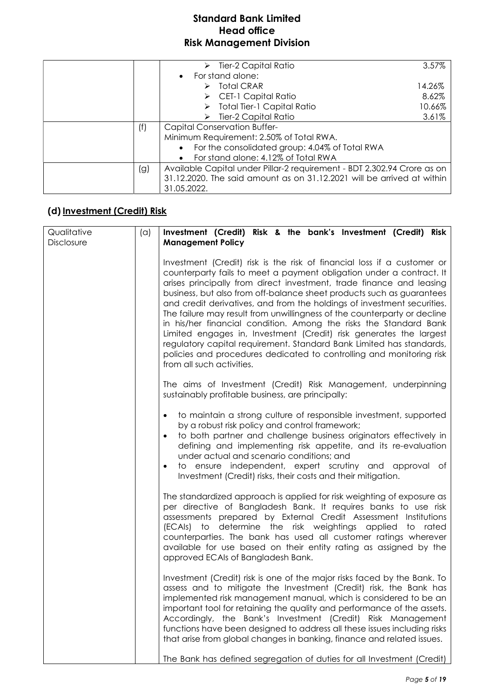|     | $\triangleright$ Tier-2 Capital Ratio                                   | 3.57%  |
|-----|-------------------------------------------------------------------------|--------|
|     | For stand alone:<br>$\bullet$                                           |        |
|     | $\triangleright$ Total CRAR                                             | 14.26% |
|     | $\triangleright$ CET-1 Capital Ratio                                    | 8.62%  |
|     | $\triangleright$ Total Tier-1 Capital Ratio                             | 10.66% |
|     | Tier-2 Capital Ratio<br>➤                                               | 3.61%  |
| (f) | <b>Capital Conservation Buffer-</b>                                     |        |
|     | Minimum Requirement: 2.50% of Total RWA.                                |        |
|     | For the consolidated group: 4.04% of Total RWA<br>$\bullet$             |        |
|     | For stand alone: 4.12% of Total RWA<br>$\bullet$                        |        |
| (g) | Available Capital under Pillar-2 requirement - BDT 2,302.94 Crore as on |        |
|     | 31.12.2020. The said amount as on 31.12.2021 will be arrived at within  |        |
|     | 31.05.2022.                                                             |        |

# (d) Investment (Credit) Risk

| Qualitative | (a) | Investment (Credit) Risk & the bank's Investment (Credit) Risk                                                                                                                                                                                                                                                                                                                                                                                                                                                                                                                                                                                                                                                                                                                  |
|-------------|-----|---------------------------------------------------------------------------------------------------------------------------------------------------------------------------------------------------------------------------------------------------------------------------------------------------------------------------------------------------------------------------------------------------------------------------------------------------------------------------------------------------------------------------------------------------------------------------------------------------------------------------------------------------------------------------------------------------------------------------------------------------------------------------------|
| Disclosure  |     | <b>Management Policy</b>                                                                                                                                                                                                                                                                                                                                                                                                                                                                                                                                                                                                                                                                                                                                                        |
|             |     | Investment (Credit) risk is the risk of financial loss if a customer or<br>counterparty fails to meet a payment obligation under a contract. It<br>arises principally from direct investment, trade finance and leasing<br>business, but also from off-balance sheet products such as guarantees<br>and credit derivatives, and from the holdings of investment securities.<br>The failure may result from unwillingness of the counterparty or decline<br>in his/her financial condition. Among the risks the Standard Bank<br>Limited engages in, Investment (Credit) risk generates the largest<br>regulatory capital requirement. Standard Bank Limited has standards,<br>policies and procedures dedicated to controlling and monitoring risk<br>from all such activities. |
|             |     | The aims of Investment (Credit) Risk Management, underpinning<br>sustainably profitable business, are principally:                                                                                                                                                                                                                                                                                                                                                                                                                                                                                                                                                                                                                                                              |
|             |     | to maintain a strong culture of responsible investment, supported<br>$\bullet$<br>by a robust risk policy and control framework;<br>to both partner and challenge business originators effectively in<br>$\bullet$<br>defining and implementing risk appetite, and its re-evaluation<br>under actual and scenario conditions; and<br>to ensure independent, expert scrutiny and approval of<br>$\bullet$<br>Investment (Credit) risks, their costs and their mitigation.                                                                                                                                                                                                                                                                                                        |
|             |     | The standardized approach is applied for risk weighting of exposure as<br>per directive of Bangladesh Bank. It requires banks to use risk<br>assessments prepared by External Credit Assessment Institutions<br>(ECAIs) to determine the risk weightings applied to rated<br>counterparties. The bank has used all customer ratings wherever<br>available for use based on their entity rating as assigned by the<br>approved ECAIs of Bangladesh Bank.                                                                                                                                                                                                                                                                                                                         |
|             |     | Investment (Credit) risk is one of the major risks faced by the Bank. To<br>assess and to mitigate the Investment (Credit) risk, the Bank has<br>implemented risk management manual, which is considered to be an<br>important tool for retaining the quality and performance of the assets.<br>Accordingly, the Bank's Investment (Credit) Risk Management<br>functions have been designed to address all these issues including risks<br>that arise from global changes in banking, finance and related issues.                                                                                                                                                                                                                                                               |
|             |     | The Bank has defined segregation of duties for all Investment (Credit)                                                                                                                                                                                                                                                                                                                                                                                                                                                                                                                                                                                                                                                                                                          |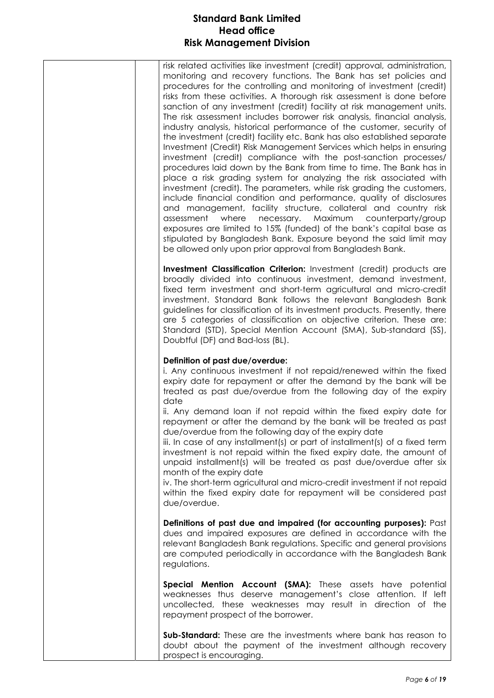| risk related activities like investment (credit) approval, administration, |
|----------------------------------------------------------------------------|
| monitoring and recovery functions. The Bank has set policies and           |
| procedures for the controlling and monitoring of investment (credit)       |
| risks from these activities. A thorough risk assessment is done before     |
| sanction of any investment (credit) facility at risk management units.     |
| The risk assessment includes borrower risk analysis, financial analysis,   |
| industry analysis, historical performance of the customer, security of     |
| the investment (credit) facility etc. Bank has also established separate   |
| Investment (Credit) Risk Management Services which helps in ensuring       |
| investment (credit) compliance with the post-sanction processes/           |
| procedures laid down by the Bank from time to time. The Bank has in        |
| place a risk grading system for analyzing the risk associated with         |
| investment (credit). The parameters, while risk grading the customers,     |
| include financial condition and performance, quality of disclosures        |
| and management, facility structure, collateral and country risk            |
| assessment where necessary. Maximum counterparty/group                     |
| exposures are limited to 15% (funded) of the bank's capital base as        |
| stipulated by Bangladesh Bank. Exposure beyond the said limit may          |
| be allowed only upon prior approval from Bangladesh Bank.                  |
|                                                                            |

Investment Classification Criterion: Investment (credit) products are broadly divided into continuous investment, demand investment, fixed term investment and short-term agricultural and micro-credit investment. Standard Bank follows the relevant Bangladesh Bank guidelines for classification of its investment products. Presently, there are 5 categories of classification on objective criterion. These are: Standard (STD), Special Mention Account (SMA), Sub-standard (SS), Doubtful (DF) and Bad-loss (BL).

#### Definition of past due/overdue:

i. Any continuous investment if not repaid/renewed within the fixed expiry date for repayment or after the demand by the bank will be treated as past due/overdue from the following day of the expiry date

ii. Any demand loan if not repaid within the fixed expiry date for repayment or after the demand by the bank will be treated as past due/overdue from the following day of the expiry date

iii. In case of any installment(s) or part of installment(s) of a fixed term investment is not repaid within the fixed expiry date, the amount of unpaid installment(s) will be treated as past due/overdue after six month of the expiry date

iv. The short-term agricultural and micro-credit investment if not repaid within the fixed expiry date for repayment will be considered past due/overdue.

Definitions of past due and impaired (for accounting purposes): Past dues and impaired exposures are defined in accordance with the relevant Bangladesh Bank regulations. Specific and general provisions are computed periodically in accordance with the Bangladesh Bank regulations.

Special Mention Account (SMA): These assets have potential weaknesses thus deserve management's close attention. If left uncollected, these weaknesses may result in direction of the repayment prospect of the borrower.

Sub-Standard: These are the investments where bank has reason to doubt about the payment of the investment although recovery prospect is encouraging.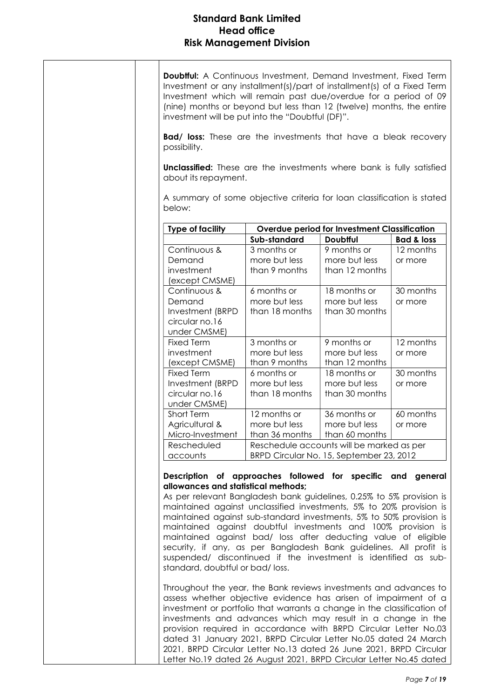| <b>Doubtful:</b> A Continuous Investment, Demand Investment, Fixed Term<br>Investment or any installment(s)/part of installment(s) of a Fixed Term<br>Investment which will remain past due/overdue for a period of 09<br>(nine) months or beyond but less than 12 (twelve) months, the entire<br>investment will be put into the "Doubtful (DF)".<br><b>Bad/ loss:</b> These are the investments that have a bleak recovery<br>possibility.<br><b>Unclassified:</b> These are the investments where bank is fully satisfied<br>about its repayment.<br>A summary of some objective criteria for loan classification is stated<br>below: |                |                                              |                       |
|------------------------------------------------------------------------------------------------------------------------------------------------------------------------------------------------------------------------------------------------------------------------------------------------------------------------------------------------------------------------------------------------------------------------------------------------------------------------------------------------------------------------------------------------------------------------------------------------------------------------------------------|----------------|----------------------------------------------|-----------------------|
|                                                                                                                                                                                                                                                                                                                                                                                                                                                                                                                                                                                                                                          |                |                                              |                       |
| <b>Type of facility</b>                                                                                                                                                                                                                                                                                                                                                                                                                                                                                                                                                                                                                  |                | Overdue period for Investment Classification |                       |
|                                                                                                                                                                                                                                                                                                                                                                                                                                                                                                                                                                                                                                          | Sub-standard   | <b>Doubfful</b>                              | <b>Bad &amp; loss</b> |
| Continuous &                                                                                                                                                                                                                                                                                                                                                                                                                                                                                                                                                                                                                             | 3 months or    | 9 months or                                  | 12 months             |
| Demand                                                                                                                                                                                                                                                                                                                                                                                                                                                                                                                                                                                                                                   | more but less  | more but less                                | or more               |
| investment<br>(except CMSME)                                                                                                                                                                                                                                                                                                                                                                                                                                                                                                                                                                                                             | than 9 months  | than 12 months                               |                       |
| Continuous &                                                                                                                                                                                                                                                                                                                                                                                                                                                                                                                                                                                                                             | 6 months or    | 18 months or                                 | 30 months             |
| Demand                                                                                                                                                                                                                                                                                                                                                                                                                                                                                                                                                                                                                                   | more but less  | more but less                                | or more               |
| Investment (BRPD                                                                                                                                                                                                                                                                                                                                                                                                                                                                                                                                                                                                                         | than 18 months | than 30 months                               |                       |
| circular no.16                                                                                                                                                                                                                                                                                                                                                                                                                                                                                                                                                                                                                           |                |                                              |                       |
| under CMSME)                                                                                                                                                                                                                                                                                                                                                                                                                                                                                                                                                                                                                             |                |                                              |                       |
| <b>Fixed Term</b>                                                                                                                                                                                                                                                                                                                                                                                                                                                                                                                                                                                                                        | 3 months or    | 9 months or                                  | 12 months             |
| investment                                                                                                                                                                                                                                                                                                                                                                                                                                                                                                                                                                                                                               | more but less  | more but less                                | or more               |
| (except CMSME)                                                                                                                                                                                                                                                                                                                                                                                                                                                                                                                                                                                                                           | than 9 months  | than 12 months                               |                       |
| <b>Fixed Term</b>                                                                                                                                                                                                                                                                                                                                                                                                                                                                                                                                                                                                                        | 6 months or    | 18 months or                                 | 30 months             |
| Investment (BRPD                                                                                                                                                                                                                                                                                                                                                                                                                                                                                                                                                                                                                         | more but less  | more but less                                | or more               |
| circular no.16                                                                                                                                                                                                                                                                                                                                                                                                                                                                                                                                                                                                                           | than 18 months | than 30 months                               |                       |
| under CMSME)                                                                                                                                                                                                                                                                                                                                                                                                                                                                                                                                                                                                                             |                |                                              |                       |
| Short Term                                                                                                                                                                                                                                                                                                                                                                                                                                                                                                                                                                                                                               | 12 months or   | 36 months or                                 | 60 months             |
| Agricultural &                                                                                                                                                                                                                                                                                                                                                                                                                                                                                                                                                                                                                           | more but less  | more but less                                | or more               |
| Micro-Investment                                                                                                                                                                                                                                                                                                                                                                                                                                                                                                                                                                                                                         |                | than 36 months $\mid$ than 60 months         |                       |
| Rescheduled                                                                                                                                                                                                                                                                                                                                                                                                                                                                                                                                                                                                                              |                | Reschedule accounts will be marked as per    |                       |
| accounts                                                                                                                                                                                                                                                                                                                                                                                                                                                                                                                                                                                                                                 |                | BRPD Circular No. 15, September 23, 2012     |                       |
| Description of approaches followed for specific and general<br>allowances and statistical methods:<br>As per relevant Bangladesh bank guidelines, 0.25% to 5% provision is<br>maintained against unclassified investments, 5% to 20% provision is<br>maintained against sub-standard investments, 5% to 50% provision is<br>maintained against doubtful investments and 100% provision is<br>maintained against bad/ loss after deducting value of eligible<br>security, if any, as per Bangladesh Bank guidelines. All profit is<br>suspended/ discontinued if the investment is identified as sub-<br>standard, doubtful or bad/loss.  |                |                                              |                       |
| Throughout the year, the Bank reviews investments and advances to<br>assess whether objective evidence has arisen of impairment of a<br>investment or portfolio that warrants a change in the classification of<br>investments and advances which may result in a change in the<br>provision required in accordance with BRPD Circular Letter No.03<br>dated 31 January 2021, BRPD Circular Letter No.05 dated 24 March<br>2021, BRPD Circular Letter No.13 dated 26 June 2021, BRPD Circular<br>Letter No.19 dated 26 August 2021, BRPD Circular Letter No.45 dated                                                                     |                |                                              |                       |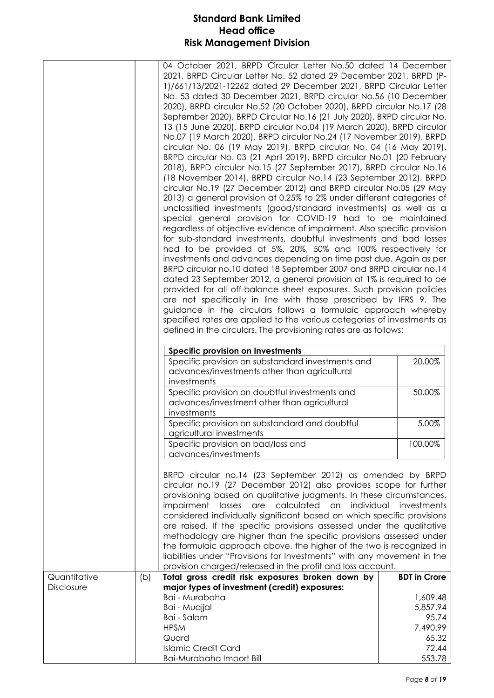|              | 04 October 2021, BRPD Circular Letter No.50 dated 14 December<br>2021, BRPD Circular Letter No. 52 dated 29 December 2021, BRPD (P-<br>1)/661/13/2021-12262 dated 29 December 2021, BRPD Circular Letter<br>No. 53 dated 30 December 2021, BRPD circular No.56 (10 December<br>2020), BRPD circular No.52 (20 October 2020), BRPD circular No.17 (28<br>September 2020), BRPD Circular No.16 (21 July 2020), BRPD circular No.<br>13 (15 June 2020), BRPD circular No.04 (19 March 2020), BRPD circular<br>No.07 (19 March 2020), BRPD circular No.24 (17 November 2019), BRPD<br>circular No. 06 (19 May 2019), BRPD circular No. 04 (16 May 2019),<br>BRPD circular No. 03 (21 April 2019), BRPD circular No.01 (20 February<br>2018), BRPD circular No.15 (27 September 2017), BRPD circular No.16<br>(18 November 2014), BRPD circular No.14 (23 September 2012), BRPD<br>circular No.19 (27 December 2012) and BRPD circular No.05 (29 May<br>2013) a general provision at 0.25% to 2% under different categories of<br>unclassified investments (good/standard investments) as well as a<br>special general provision for COVID-19 had to be maintained<br>regardless of objective evidence of impairment. Also specific provision<br>for sub-standard investments, doubtful investments and bad losses<br>had to be provided at 5%, 20%, 50% and 100% respectively for<br>investments and advances depending on time past due. Again as per<br>BRPD circular no.10 dated 18 September 2007 and BRPD circular no.14<br>dated 23 September 2012, a general provision at 1% is required to be<br>provided for all off-balance sheet exposures. Such provision policies<br>are not specifically in line with those prescribed by IFRS 9. The<br>guidance in the circulars follows a formulaic approach whereby<br>specified rates are applied to the various categories of investments as<br>defined in the circulars. The provisioning rates are as follows: |                        |
|--------------|------------------------------------------------------------------------------------------------------------------------------------------------------------------------------------------------------------------------------------------------------------------------------------------------------------------------------------------------------------------------------------------------------------------------------------------------------------------------------------------------------------------------------------------------------------------------------------------------------------------------------------------------------------------------------------------------------------------------------------------------------------------------------------------------------------------------------------------------------------------------------------------------------------------------------------------------------------------------------------------------------------------------------------------------------------------------------------------------------------------------------------------------------------------------------------------------------------------------------------------------------------------------------------------------------------------------------------------------------------------------------------------------------------------------------------------------------------------------------------------------------------------------------------------------------------------------------------------------------------------------------------------------------------------------------------------------------------------------------------------------------------------------------------------------------------------------------------------------------------------------------------------------------------------------------------------------------------------|------------------------|
|              | <b>Specific provision on Investments</b>                                                                                                                                                                                                                                                                                                                                                                                                                                                                                                                                                                                                                                                                                                                                                                                                                                                                                                                                                                                                                                                                                                                                                                                                                                                                                                                                                                                                                                                                                                                                                                                                                                                                                                                                                                                                                                                                                                                         |                        |
|              | Specific provision on substandard investments and<br>advances/investments other than agricultural<br>investments                                                                                                                                                                                                                                                                                                                                                                                                                                                                                                                                                                                                                                                                                                                                                                                                                                                                                                                                                                                                                                                                                                                                                                                                                                                                                                                                                                                                                                                                                                                                                                                                                                                                                                                                                                                                                                                 | 20.00%                 |
|              | Specific provision on doubtful investments and<br>advances/investment other than agricultural<br>investments                                                                                                                                                                                                                                                                                                                                                                                                                                                                                                                                                                                                                                                                                                                                                                                                                                                                                                                                                                                                                                                                                                                                                                                                                                                                                                                                                                                                                                                                                                                                                                                                                                                                                                                                                                                                                                                     | 50.00%                 |
|              | Specific provision on substandard and doubtful<br>agricultural investments                                                                                                                                                                                                                                                                                                                                                                                                                                                                                                                                                                                                                                                                                                                                                                                                                                                                                                                                                                                                                                                                                                                                                                                                                                                                                                                                                                                                                                                                                                                                                                                                                                                                                                                                                                                                                                                                                       | 5.00%                  |
|              | Specific provision on bad/loss and<br>advances/investments                                                                                                                                                                                                                                                                                                                                                                                                                                                                                                                                                                                                                                                                                                                                                                                                                                                                                                                                                                                                                                                                                                                                                                                                                                                                                                                                                                                                                                                                                                                                                                                                                                                                                                                                                                                                                                                                                                       | 100.00%                |
|              | BRPD circular no.14 (23 September 2012) as amended by BRPD<br>circular no.19 (27 December 2012) also provides scope for further<br>provisioning based on qualitative judgments. In these circumstances,<br>calculated<br>impairment<br>losses<br>are<br>on<br>considered individually significant based on which specific provisions<br>are raised. If the specific provisions assessed under the qualitative<br>methodology are higher than the specific provisions assessed under<br>the formulaic approach above, the higher of the two is recognized in<br>liabilities under "Provisions for Investments" with any movement in the<br>provision charged/released in the profit and loss account.                                                                                                                                                                                                                                                                                                                                                                                                                                                                                                                                                                                                                                                                                                                                                                                                                                                                                                                                                                                                                                                                                                                                                                                                                                                             | individual investments |
| Quantitative | Total gross credit risk exposures broken down by<br>(b)                                                                                                                                                                                                                                                                                                                                                                                                                                                                                                                                                                                                                                                                                                                                                                                                                                                                                                                                                                                                                                                                                                                                                                                                                                                                                                                                                                                                                                                                                                                                                                                                                                                                                                                                                                                                                                                                                                          | <b>BDT</b> in Crore    |
| Disclosure   | major types of investment (credit) exposures:<br>Bai - Murabaha                                                                                                                                                                                                                                                                                                                                                                                                                                                                                                                                                                                                                                                                                                                                                                                                                                                                                                                                                                                                                                                                                                                                                                                                                                                                                                                                                                                                                                                                                                                                                                                                                                                                                                                                                                                                                                                                                                  | 1,609.48               |
|              | Bai - Muajjal                                                                                                                                                                                                                                                                                                                                                                                                                                                                                                                                                                                                                                                                                                                                                                                                                                                                                                                                                                                                                                                                                                                                                                                                                                                                                                                                                                                                                                                                                                                                                                                                                                                                                                                                                                                                                                                                                                                                                    | 5,857.94               |
|              | Bai - Salam                                                                                                                                                                                                                                                                                                                                                                                                                                                                                                                                                                                                                                                                                                                                                                                                                                                                                                                                                                                                                                                                                                                                                                                                                                                                                                                                                                                                                                                                                                                                                                                                                                                                                                                                                                                                                                                                                                                                                      | 95.74                  |
|              | <b>HPSM</b>                                                                                                                                                                                                                                                                                                                                                                                                                                                                                                                                                                                                                                                                                                                                                                                                                                                                                                                                                                                                                                                                                                                                                                                                                                                                                                                                                                                                                                                                                                                                                                                                                                                                                                                                                                                                                                                                                                                                                      | 7,490.99               |
|              | Quard                                                                                                                                                                                                                                                                                                                                                                                                                                                                                                                                                                                                                                                                                                                                                                                                                                                                                                                                                                                                                                                                                                                                                                                                                                                                                                                                                                                                                                                                                                                                                                                                                                                                                                                                                                                                                                                                                                                                                            | 65.32                  |
|              | <b>Islamic Credit Card</b><br>Bai-Murabaha Import Bill                                                                                                                                                                                                                                                                                                                                                                                                                                                                                                                                                                                                                                                                                                                                                                                                                                                                                                                                                                                                                                                                                                                                                                                                                                                                                                                                                                                                                                                                                                                                                                                                                                                                                                                                                                                                                                                                                                           | 72.44<br>553.78        |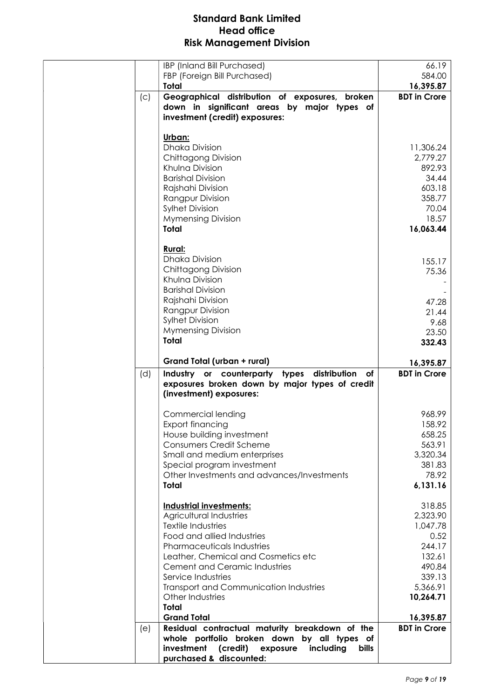|     | IBP (Inland Bill Purchased)                                                         | 66.19                 |
|-----|-------------------------------------------------------------------------------------|-----------------------|
|     | FBP (Foreign Bill Purchased)                                                        | 584.00                |
|     | Total                                                                               | 16,395.87             |
| (c) | Geographical distribution of exposures, broken                                      | <b>BDT</b> in Crore   |
|     | down in significant areas by major types of                                         |                       |
|     | investment (credit) exposures:                                                      |                       |
|     |                                                                                     |                       |
|     | Urban:                                                                              |                       |
|     | <b>Dhaka Division</b><br>Chittagong Division                                        | 11,306.24<br>2,779.27 |
|     | Khulna Division                                                                     | 892.93                |
|     | <b>Barishal Division</b>                                                            | 34.44                 |
|     | Rajshahi Division                                                                   | 603.18                |
|     | <b>Rangpur Division</b>                                                             | 358.77                |
|     | <b>Sylhet Division</b>                                                              | 70.04                 |
|     | <b>Mymensing Division</b>                                                           | 18.57                 |
|     | <b>Total</b>                                                                        | 16,063.44             |
|     |                                                                                     |                       |
|     | <b>Rural:</b>                                                                       |                       |
|     | <b>Dhaka Division</b>                                                               | 155.17                |
|     | Chittagong Division                                                                 | 75.36                 |
|     | Khulna Division                                                                     |                       |
|     | <b>Barishal Division</b>                                                            |                       |
|     | Rajshahi Division                                                                   | 47.28                 |
|     | <b>Rangpur Division</b><br><b>Sylhet Division</b>                                   | 21.44                 |
|     | <b>Mymensing Division</b>                                                           | 9.68                  |
|     | <b>Total</b>                                                                        | 23.50                 |
|     |                                                                                     | 332.43                |
|     | Grand Total (urban + rural)                                                         | 16,395.87             |
| (d) | Industry or counterparty types distribution of                                      | <b>BDT</b> in Crore   |
|     | exposures broken down by major types of credit<br>(investment) exposures:           |                       |
|     |                                                                                     |                       |
|     | Commercial lending                                                                  | 968.99                |
|     | Export financing                                                                    | 158.92                |
|     | House building investment                                                           | 658.25                |
|     | <b>Consumers Credit Scheme</b>                                                      | 563.91                |
|     | Small and medium enterprises                                                        | 3,320.34<br>381.83    |
|     | Special program investment<br>Other Investments and advances/Investments            | 78.92                 |
|     | <b>Total</b>                                                                        | 6,131.16              |
|     |                                                                                     |                       |
|     | <b>Industrial investments:</b>                                                      | 318.85                |
|     | Agricultural Industries                                                             | 2,323.90              |
|     | <b>Textile Industries</b>                                                           | 1,047.78              |
|     | Food and allied Industries                                                          | 0.52                  |
|     | Pharmaceuticals Industries                                                          | 244.17                |
|     | Leather, Chemical and Cosmetics etc                                                 | 132.61                |
|     | <b>Cement and Ceramic Industries</b>                                                | 490.84                |
|     | Service Industries                                                                  | 339.13                |
|     |                                                                                     |                       |
|     | <b>Transport and Communication Industries</b>                                       | 5,366.91              |
|     | Other Industries                                                                    | 10,264.71             |
|     | <b>Total</b>                                                                        |                       |
|     | <b>Grand Total</b>                                                                  | 16,395.87             |
| (e) | Residual contractual maturity breakdown of the                                      | <b>BDT</b> in Crore   |
|     | whole portfolio broken down by all types of                                         |                       |
|     | investment<br>(credit)<br>exposure<br>including<br>bills<br>purchased & discounted: |                       |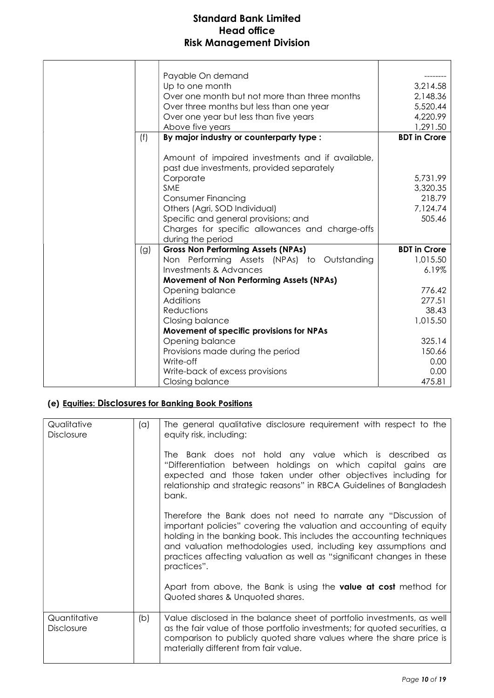| Payable On demand<br>3,214.58<br>Up to one month<br>Over one month but not more than three months<br>2,148.36<br>5,520.44<br>Over three months but less than one year<br>4,220.99<br>Over one year but less than five years<br>1,291.50<br>Above five years<br>By major industry or counterparty type :<br><b>BDT</b> in Crore<br>(f)<br>Amount of impaired investments and if available,<br>past due investments, provided separately<br>Corporate<br>5,731.99<br>SME<br>3,320.35<br>218.79<br><b>Consumer Financing</b><br>Others (Agri, SOD Individual)<br>7,124.74<br>505.46<br>Specific and general provisions; and<br>Charges for specific allowances and charge-offs<br>during the period<br><b>Gross Non Performing Assets (NPAs)</b><br><b>BDT</b> in Crore<br>(g)<br>Non Performing Assets (NPAs) to Outstanding<br>1,015.50<br><b>Investments &amp; Advances</b><br>6.19%<br>Movement of Non Performing Assets (NPAs)<br>776.42<br>Opening balance<br>Additions<br>277.51<br><b>Reductions</b><br>38.43<br>1,015.50<br>Closing balance<br>Movement of specific provisions for NPAs<br>Opening balance<br>325.14<br>150.66<br>Provisions made during the period<br>Write-off<br>0.00<br>0.00<br>Write-back of excess provisions<br>475.81<br>Closing balance |  |  |
|------------------------------------------------------------------------------------------------------------------------------------------------------------------------------------------------------------------------------------------------------------------------------------------------------------------------------------------------------------------------------------------------------------------------------------------------------------------------------------------------------------------------------------------------------------------------------------------------------------------------------------------------------------------------------------------------------------------------------------------------------------------------------------------------------------------------------------------------------------------------------------------------------------------------------------------------------------------------------------------------------------------------------------------------------------------------------------------------------------------------------------------------------------------------------------------------------------------------------------------------------------------------|--|--|
|                                                                                                                                                                                                                                                                                                                                                                                                                                                                                                                                                                                                                                                                                                                                                                                                                                                                                                                                                                                                                                                                                                                                                                                                                                                                        |  |  |
|                                                                                                                                                                                                                                                                                                                                                                                                                                                                                                                                                                                                                                                                                                                                                                                                                                                                                                                                                                                                                                                                                                                                                                                                                                                                        |  |  |
|                                                                                                                                                                                                                                                                                                                                                                                                                                                                                                                                                                                                                                                                                                                                                                                                                                                                                                                                                                                                                                                                                                                                                                                                                                                                        |  |  |
|                                                                                                                                                                                                                                                                                                                                                                                                                                                                                                                                                                                                                                                                                                                                                                                                                                                                                                                                                                                                                                                                                                                                                                                                                                                                        |  |  |

## (e) Equities: Disclosures for Banking Book Positions

| Qualitative<br><b>Disclosure</b>  | (a) | The general qualitative disclosure requirement with respect to the<br>equity risk, including:                                                                                                                                                                                                                                                                             |
|-----------------------------------|-----|---------------------------------------------------------------------------------------------------------------------------------------------------------------------------------------------------------------------------------------------------------------------------------------------------------------------------------------------------------------------------|
|                                   |     | The Bank does not hold any value which is described<br>$\alpha s$<br>"Differentiation between holdings on which capital gains are<br>expected and those taken under other objectives including for<br>relationship and strategic reasons" in RBCA Guidelines of Bangladesh<br>bank.                                                                                       |
|                                   |     | Therefore the Bank does not need to narrate any "Discussion of<br>important policies" covering the valuation and accounting of equity<br>holding in the banking book. This includes the accounting techniques<br>and valuation methodologies used, including key assumptions and<br>practices affecting valuation as well as "significant changes in these<br>practices". |
|                                   |     | Apart from above, the Bank is using the <b>value at cost</b> method for<br>Quoted shares & Unquoted shares.                                                                                                                                                                                                                                                               |
| Quantitative<br><b>Disclosure</b> | (b) | Value disclosed in the balance sheet of portfolio investments, as well<br>as the fair value of those portfolio investments; for quoted securities, a<br>comparison to publicly quoted share values where the share price is<br>materially different from fair value.                                                                                                      |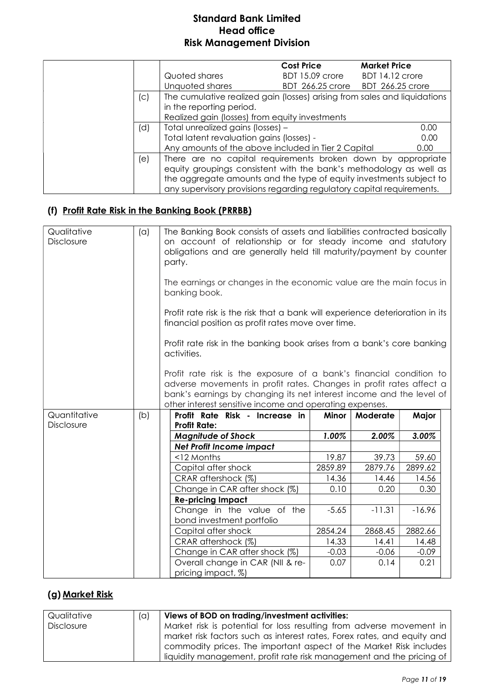|     |                                                                           | <b>Cost Price</b>       | <b>Market Price</b>     |
|-----|---------------------------------------------------------------------------|-------------------------|-------------------------|
|     | Quoted shares                                                             | BDT 15.09 crore         | BDT 14.12 crore         |
|     | Unquoted shares                                                           | <b>BDT 266.25 crore</b> | <b>BDT 266.25 crore</b> |
| (c) | The cumulative realized gain (losses) arising from sales and liquidations |                         |                         |
|     | in the reporting period.                                                  |                         |                         |
|     | Realized gain (losses) from equity investments                            |                         |                         |
| (d) | Total unrealized gains (losses) -                                         |                         | 0.00                    |
|     | Total latent revaluation gains (losses) -                                 |                         | 0.00                    |
|     | Any amounts of the above included in Tier 2 Capital                       |                         | 0.00                    |
| (e) | There are no capital requirements broken down by appropriate              |                         |                         |
|     | equity groupings consistent with the bank's methodology as well as        |                         |                         |
|     | the aggregate amounts and the type of equity investments subject to       |                         |                         |
|     | any supervisory provisions regarding regulatory capital requirements.     |                         |                         |

#### (f) Profit Rate Risk in the Banking Book (PRRBB)

| Qualitative<br>Disclosure | (a) | The Banking Book consists of assets and liabilities contracted basically<br>on account of relationship or for steady income and statutory<br>obligations and are generally held till maturity/payment by counter<br>party.                                                    |         |          |          |  |
|---------------------------|-----|-------------------------------------------------------------------------------------------------------------------------------------------------------------------------------------------------------------------------------------------------------------------------------|---------|----------|----------|--|
|                           |     | The earnings or changes in the economic value are the main focus in<br>banking book.                                                                                                                                                                                          |         |          |          |  |
|                           |     | Profit rate risk is the risk that a bank will experience deterioration in its<br>financial position as profit rates move over time.                                                                                                                                           |         |          |          |  |
|                           |     | Profit rate risk in the banking book arises from a bank's core banking<br>activities.                                                                                                                                                                                         |         |          |          |  |
|                           |     | Profit rate risk is the exposure of a bank's financial condition to<br>adverse movements in profit rates. Changes in profit rates affect a<br>bank's earnings by changing its net interest income and the level of<br>other interest sensitive income and operating expenses. |         |          |          |  |
| Quantitative              | (b) | Profit Rate Risk - Increase in                                                                                                                                                                                                                                                | Minor   | Moderate | Major    |  |
| Disclosure                |     | <b>Profit Rate:</b>                                                                                                                                                                                                                                                           |         |          |          |  |
|                           |     | <b>Magnitude of Shock</b>                                                                                                                                                                                                                                                     | 1.00%   | 2.00%    | 3.00%    |  |
|                           |     | <b>Net Profit Income impact</b>                                                                                                                                                                                                                                               |         |          |          |  |
|                           |     | <12 Months                                                                                                                                                                                                                                                                    | 19.87   | 39.73    | 59.60    |  |
|                           |     | Capital after shock                                                                                                                                                                                                                                                           | 2859.89 | 2879.76  | 2899.62  |  |
|                           |     | CRAR aftershock (%)                                                                                                                                                                                                                                                           | 14.36   | 14.46    | 14.56    |  |
|                           |     | Change in CAR after shock (%)                                                                                                                                                                                                                                                 | 0.10    | 0.20     | 0.30     |  |
|                           |     | <b>Re-pricing Impact</b>                                                                                                                                                                                                                                                      |         |          |          |  |
|                           |     | Change in the value of the<br>bond investment portfolio                                                                                                                                                                                                                       | $-5.65$ | $-11.31$ | $-16.96$ |  |
|                           |     | Capital after shock                                                                                                                                                                                                                                                           | 2854.24 | 2868.45  | 2882.66  |  |
|                           |     | CRAR aftershock (%)                                                                                                                                                                                                                                                           | 14.33   | 14.41    | 14.48    |  |
|                           |     | Change in CAR after shock (%)                                                                                                                                                                                                                                                 | $-0.03$ | $-0.06$  | $-0.09$  |  |
|                           |     | Overall change in CAR (NII & re-                                                                                                                                                                                                                                              | 0.07    | 0.14     | 0.21     |  |
|                           |     | pricing impact, %)                                                                                                                                                                                                                                                            |         |          |          |  |

# (g) Market Risk

| Qualitative | $(\alpha)$ | Views of BOD on trading/investment activities:                          |  |  |  |
|-------------|------------|-------------------------------------------------------------------------|--|--|--|
| Disclosure  |            | Market risk is potential for loss resulting from adverse movement in    |  |  |  |
|             |            | market risk factors such as interest rates, Forex rates, and equity and |  |  |  |
|             |            | commodity prices. The important aspect of the Market Risk includes      |  |  |  |
|             |            | liquidity management, profit rate risk management and the pricing of    |  |  |  |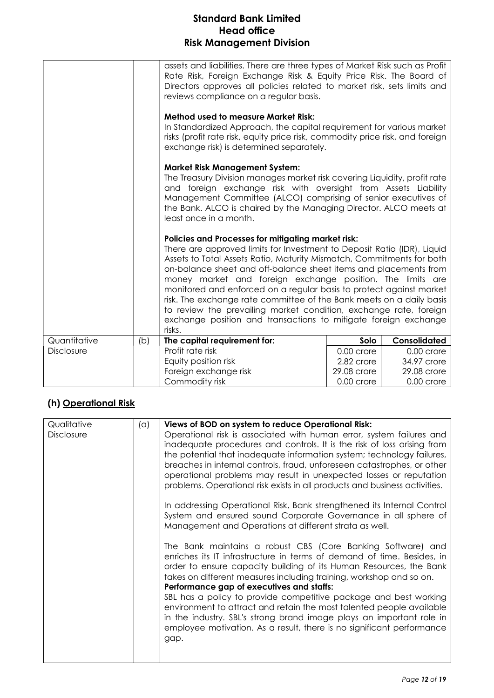|                   |     | assets and liabilities. There are three types of Market Risk such as Profit<br>Rate Risk, Foreign Exchange Risk & Equity Price Risk. The Board of<br>Directors approves all policies related to market risk, sets limits and<br>reviews compliance on a regular basis.                                                                                                                                                                                                                                                                                                                                                                    |              |              |
|-------------------|-----|-------------------------------------------------------------------------------------------------------------------------------------------------------------------------------------------------------------------------------------------------------------------------------------------------------------------------------------------------------------------------------------------------------------------------------------------------------------------------------------------------------------------------------------------------------------------------------------------------------------------------------------------|--------------|--------------|
|                   |     | <b>Method used to measure Market Risk:</b><br>In Standardized Approach, the capital requirement for various market<br>risks (profit rate risk, equity price risk, commodity price risk, and foreign<br>exchange risk) is determined separately.                                                                                                                                                                                                                                                                                                                                                                                           |              |              |
|                   |     | <b>Market Risk Management System:</b><br>The Treasury Division manages market risk covering Liquidity, profit rate<br>and foreign exchange risk with oversight from Assets Liability<br>Management Committee (ALCO) comprising of senior executives of<br>the Bank. ALCO is chaired by the Managing Director. ALCO meets at<br>least once in a month.                                                                                                                                                                                                                                                                                     |              |              |
|                   |     | Policies and Processes for mitigating market risk:<br>There are approved limits for Investment to Deposit Ratio (IDR), Liquid<br>Assets to Total Assets Ratio, Maturity Mismatch, Commitments for both<br>on-balance sheet and off-balance sheet items and placements from<br>money market and foreign exchange position. The limits are<br>monitored and enforced on a regular basis to protect against market<br>risk. The exchange rate committee of the Bank meets on a daily basis<br>to review the prevailing market condition, exchange rate, foreign<br>exchange position and transactions to mitigate foreign exchange<br>risks. |              |              |
| Quantitative      | (b) | The capital requirement for:                                                                                                                                                                                                                                                                                                                                                                                                                                                                                                                                                                                                              | Solo         | Consolidated |
| <b>Disclosure</b> |     | Profit rate risk                                                                                                                                                                                                                                                                                                                                                                                                                                                                                                                                                                                                                          | $0.00$ crore | $0.00$ crore |
|                   |     | Equity position risk                                                                                                                                                                                                                                                                                                                                                                                                                                                                                                                                                                                                                      | 2.82 crore   | 34.97 crore  |
|                   |     | Foreign exchange risk                                                                                                                                                                                                                                                                                                                                                                                                                                                                                                                                                                                                                     | 29.08 crore  | 29.08 crore  |
|                   |     | Commodity risk                                                                                                                                                                                                                                                                                                                                                                                                                                                                                                                                                                                                                            | 0.00 crore   | $0.00$ crore |

#### (h) Operational Risk

| Qualitative | (a) | Views of BOD on system to reduce Operational Risk:                                                                                                                                                                                                                                                                                                                                                                                                                                                                                                                                                                                                                                             |
|-------------|-----|------------------------------------------------------------------------------------------------------------------------------------------------------------------------------------------------------------------------------------------------------------------------------------------------------------------------------------------------------------------------------------------------------------------------------------------------------------------------------------------------------------------------------------------------------------------------------------------------------------------------------------------------------------------------------------------------|
| Disclosure  |     | Operational risk is associated with human error, system failures and<br>inadequate procedures and controls. It is the risk of loss arising from<br>the potential that inadequate information system; technology failures,<br>breaches in internal controls, fraud, unforeseen catastrophes, or other<br>operational problems may result in unexpected losses or reputation<br>problems. Operational risk exists in all products and business activities.<br>In addressing Operational Risk, Bank strengthened its Internal Control<br>System and ensured sound Corporate Governance in all sphere of                                                                                           |
|             |     | Management and Operations at different strata as well.<br>The Bank maintains a robust CBS (Core Banking Software) and<br>enriches its IT infrastructure in terms of demand of time. Besides, in<br>order to ensure capacity building of its Human Resources, the Bank<br>takes on different measures including training, workshop and so on.<br>Performance gap of executives and staffs:<br>SBL has a policy to provide competitive package and best working<br>environment to attract and retain the most talented people available<br>in the industry. SBL's strong brand image plays an important role in<br>employee motivation. As a result, there is no significant performance<br>gap. |
|             |     |                                                                                                                                                                                                                                                                                                                                                                                                                                                                                                                                                                                                                                                                                                |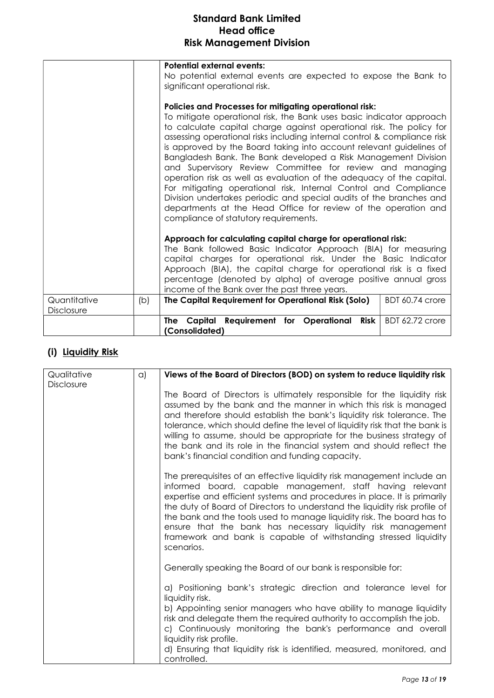|                            |     | <b>Potential external events:</b><br>No potential external events are expected to expose the Bank to<br>significant operational risk.<br>Policies and Processes for mitigating operational risk:<br>To mitigate operational risk, the Bank uses basic indicator approach<br>to calculate capital charge against operational risk. The policy for<br>assessing operational risks including internal control & compliance risk<br>is approved by the Board taking into account relevant guidelines of<br>Bangladesh Bank. The Bank developed a Risk Management Division<br>and Supervisory Review Committee for review and managing<br>operation risk as well as evaluation of the adequacy of the capital.<br>For mitigating operational risk, Internal Control and Compliance<br>Division undertakes periodic and special audits of the branches and<br>departments at the Head Office for review of the operation and<br>compliance of statutory requirements. |  |  |
|----------------------------|-----|-----------------------------------------------------------------------------------------------------------------------------------------------------------------------------------------------------------------------------------------------------------------------------------------------------------------------------------------------------------------------------------------------------------------------------------------------------------------------------------------------------------------------------------------------------------------------------------------------------------------------------------------------------------------------------------------------------------------------------------------------------------------------------------------------------------------------------------------------------------------------------------------------------------------------------------------------------------------|--|--|
|                            |     | Approach for calculating capital charge for operational risk:<br>The Bank followed Basic Indicator Approach (BIA) for measuring<br>capital charges for operational risk. Under the Basic Indicator<br>Approach (BIA), the capital charge for operational risk is a fixed<br>percentage (denoted by alpha) of average positive annual gross<br>income of the Bank over the past three years.                                                                                                                                                                                                                                                                                                                                                                                                                                                                                                                                                                     |  |  |
| Quantitative<br>Disclosure | (b) | The Capital Requirement for Operational Risk (Solo)<br>BDT 60.74 crore                                                                                                                                                                                                                                                                                                                                                                                                                                                                                                                                                                                                                                                                                                                                                                                                                                                                                          |  |  |
|                            |     | The Capital Requirement for Operational<br><b>Risk</b><br><b>BDT 62.72 crore</b><br>(Consolidated)                                                                                                                                                                                                                                                                                                                                                                                                                                                                                                                                                                                                                                                                                                                                                                                                                                                              |  |  |

# (i) Liquidity Risk

| Qualitative | $\alpha$ | Views of the Board of Directors (BOD) on system to reduce liquidity risk                                                                                                                                                                                                                                                                                                                                                                                                                                                  |
|-------------|----------|---------------------------------------------------------------------------------------------------------------------------------------------------------------------------------------------------------------------------------------------------------------------------------------------------------------------------------------------------------------------------------------------------------------------------------------------------------------------------------------------------------------------------|
| Disclosure  |          |                                                                                                                                                                                                                                                                                                                                                                                                                                                                                                                           |
|             |          | The Board of Directors is ultimately responsible for the liquidity risk<br>assumed by the bank and the manner in which this risk is managed<br>and therefore should establish the bank's liquidity risk tolerance. The<br>tolerance, which should define the level of liquidity risk that the bank is<br>willing to assume, should be appropriate for the business strategy of<br>the bank and its role in the financial system and should reflect the<br>bank's financial condition and funding capacity.                |
|             |          | The prerequisites of an effective liquidity risk management include an<br>informed board, capable management, staff having relevant<br>expertise and efficient systems and procedures in place. It is primarily<br>the duty of Board of Directors to understand the liquidity risk profile of<br>the bank and the tools used to manage liquidity risk. The board has to<br>ensure that the bank has necessary liquidity risk management<br>framework and bank is capable of withstanding stressed liquidity<br>scenarios. |
|             |          | Generally speaking the Board of our bank is responsible for:                                                                                                                                                                                                                                                                                                                                                                                                                                                              |
|             |          | a) Positioning bank's strategic direction and tolerance level for<br>liquidity risk.<br>b) Appointing senior managers who have ability to manage liquidity<br>risk and delegate them the required authority to accomplish the job.<br>c) Continuously monitoring the bank's performance and overall<br>liquidity risk profile.                                                                                                                                                                                            |
|             |          | d) Ensuring that liquidity risk is identified, measured, monitored, and<br>controlled.                                                                                                                                                                                                                                                                                                                                                                                                                                    |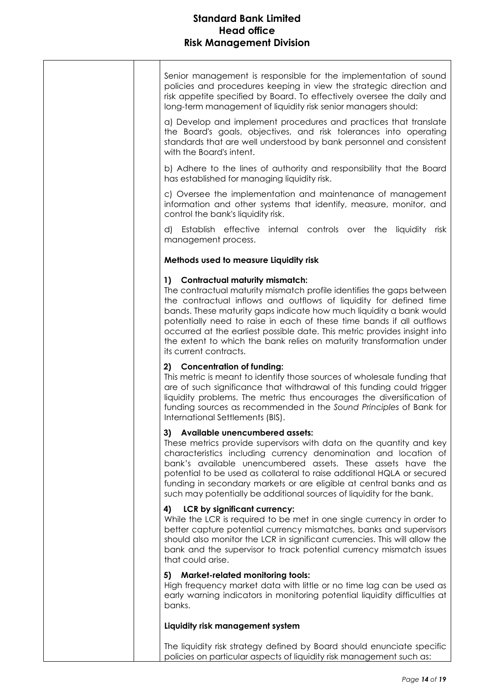| Senior management is responsible for the implementation of sound<br>policies and procedures keeping in view the strategic direction and<br>risk appetite specified by Board. To effectively oversee the daily and<br>long-term management of liquidity risk senior managers should:                                                                                                                                                                                                                             |
|-----------------------------------------------------------------------------------------------------------------------------------------------------------------------------------------------------------------------------------------------------------------------------------------------------------------------------------------------------------------------------------------------------------------------------------------------------------------------------------------------------------------|
| a) Develop and implement procedures and practices that translate<br>the Board's goals, objectives, and risk tolerances into operating<br>standards that are well understood by bank personnel and consistent<br>with the Board's intent.                                                                                                                                                                                                                                                                        |
| b) Adhere to the lines of authority and responsibility that the Board<br>has established for managing liquidity risk.                                                                                                                                                                                                                                                                                                                                                                                           |
| c) Oversee the implementation and maintenance of management<br>information and other systems that identify, measure, monitor, and<br>control the bank's liquidity risk.                                                                                                                                                                                                                                                                                                                                         |
| d) Establish effective internal controls over the liquidity risk<br>management process.                                                                                                                                                                                                                                                                                                                                                                                                                         |
| Methods used to measure Liquidity risk                                                                                                                                                                                                                                                                                                                                                                                                                                                                          |
| 1) Contractual maturity mismatch:<br>The contractual maturity mismatch profile identifies the gaps between<br>the contractual inflows and outflows of liquidity for defined time<br>bands. These maturity gaps indicate how much liquidity a bank would<br>potentially need to raise in each of these time bands if all outflows<br>occurred at the earliest possible date. This metric provides insight into<br>the extent to which the bank relies on maturity transformation under<br>its current contracts. |
| 2) Concentration of funding:<br>This metric is meant to identify those sources of wholesale funding that<br>are of such significance that withdrawal of this funding could trigger<br>liquidity problems. The metric thus encourages the diversification of<br>funding sources as recommended in the Sound Principles of Bank for<br>International Settlements (BIS).                                                                                                                                           |
| 3) Available unencumbered assets:                                                                                                                                                                                                                                                                                                                                                                                                                                                                               |
| These metrics provide supervisors with data on the quantity and key<br>characteristics including currency denomination and location of<br>bank's available unencumbered assets. These assets have the<br>potential to be used as collateral to raise additional HQLA or secured<br>funding in secondary markets or are eligible at central banks and as<br>such may potentially be additional sources of liquidity for the bank.                                                                                |
| LCR by significant currency:<br>4)<br>While the LCR is required to be met in one single currency in order to<br>better capture potential currency mismatches, banks and supervisors<br>should also monitor the LCR in significant currencies. This will allow the<br>bank and the supervisor to track potential currency mismatch issues<br>that could arise.                                                                                                                                                   |
| 5) Market-related monitoring tools:<br>High frequency market data with little or no time lag can be used as<br>early warning indicators in monitoring potential liquidity difficulties at<br>banks.                                                                                                                                                                                                                                                                                                             |
| Liquidity risk management system                                                                                                                                                                                                                                                                                                                                                                                                                                                                                |
| The liquidity risk strategy defined by Board should enunciate specific<br>policies on particular aspects of liquidity risk management such as:                                                                                                                                                                                                                                                                                                                                                                  |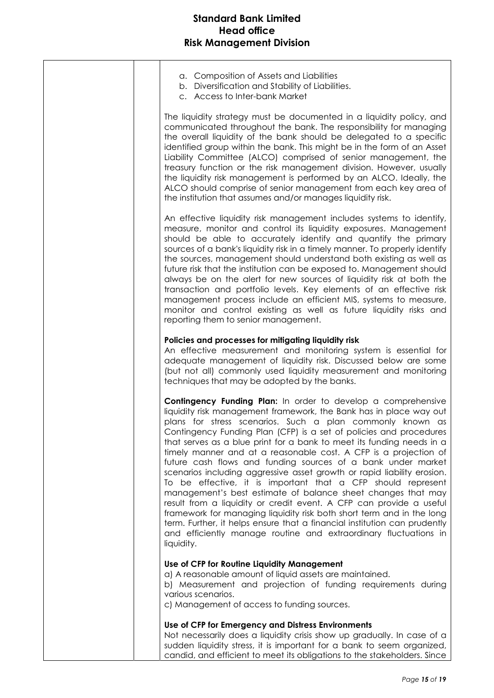| a. Composition of Assets and Liabilities<br>b. Diversification and Stability of Liabilities.<br>c. Access to Inter-bank Market                                                                                                                                                                                                                                                                                                                                                                                                                                                                                                                                                                                                                                                                                                                                                                                                                                                                                |
|---------------------------------------------------------------------------------------------------------------------------------------------------------------------------------------------------------------------------------------------------------------------------------------------------------------------------------------------------------------------------------------------------------------------------------------------------------------------------------------------------------------------------------------------------------------------------------------------------------------------------------------------------------------------------------------------------------------------------------------------------------------------------------------------------------------------------------------------------------------------------------------------------------------------------------------------------------------------------------------------------------------|
| The liquidity strategy must be documented in a liquidity policy, and<br>communicated throughout the bank. The responsibility for managing<br>the overall liquidity of the bank should be delegated to a specific<br>identified group within the bank. This might be in the form of an Asset<br>Liability Committee (ALCO) comprised of senior management, the<br>treasury function or the risk management division. However, usually<br>the liquidity risk management is performed by an ALCO. Ideally, the<br>ALCO should comprise of senior management from each key area of<br>the institution that assumes and/or manages liquidity risk.                                                                                                                                                                                                                                                                                                                                                                 |
| An effective liquidity risk management includes systems to identify,<br>measure, monitor and control its liquidity exposures. Management<br>should be able to accurately identify and quantify the primary<br>sources of a bank's liquidity risk in a timely manner. To properly identify<br>the sources, management should understand both existing as well as<br>future risk that the institution can be exposed to. Management should<br>always be on the alert for new sources of liquidity risk at both the<br>transaction and portfolio levels. Key elements of an effective risk<br>management process include an efficient MIS, systems to measure,<br>monitor and control existing as well as future liquidity risks and<br>reporting them to senior management.                                                                                                                                                                                                                                     |
| Policies and processes for mitigating liquidity risk<br>An effective measurement and monitoring system is essential for<br>adequate management of liquidity risk. Discussed below are some<br>(but not all) commonly used liquidity measurement and monitoring<br>techniques that may be adopted by the banks.                                                                                                                                                                                                                                                                                                                                                                                                                                                                                                                                                                                                                                                                                                |
| Contingency Funding Plan: In order to develop a comprehensive<br>liquidity risk management framework, the Bank has in place way out<br>plans for stress scenarios. Such a plan commonly known as<br>Contingency Funding Plan (CFP) is a set of policies and procedures<br>that serves as a blue print for a bank to meet its funding needs in a<br>timely manner and at a reasonable cost. A CFP is a projection of<br>future cash flows and funding sources of a bank under market<br>scenarios including aggressive asset growth or rapid liability erosion.<br>To be effective, it is important that a CFP should represent<br>management's best estimate of balance sheet changes that may<br>result from a liquidity or credit event. A CFP can provide a useful<br>framework for managing liquidity risk both short term and in the long<br>term. Further, it helps ensure that a financial institution can prudently<br>and efficiently manage routine and extraordinary fluctuations in<br>liquidity. |
| Use of CFP for Routine Liquidity Management<br>a) A reasonable amount of liquid assets are maintained.<br>b) Measurement and projection of funding requirements during<br>various scenarios.<br>c) Management of access to funding sources.                                                                                                                                                                                                                                                                                                                                                                                                                                                                                                                                                                                                                                                                                                                                                                   |
| Use of CFP for Emergency and Distress Environments                                                                                                                                                                                                                                                                                                                                                                                                                                                                                                                                                                                                                                                                                                                                                                                                                                                                                                                                                            |
| Not necessarily does a liquidity crisis show up gradually. In case of a<br>sudden liquidity stress, it is important for a bank to seem organized,<br>candid, and efficient to meet its obligations to the stakeholders. Since                                                                                                                                                                                                                                                                                                                                                                                                                                                                                                                                                                                                                                                                                                                                                                                 |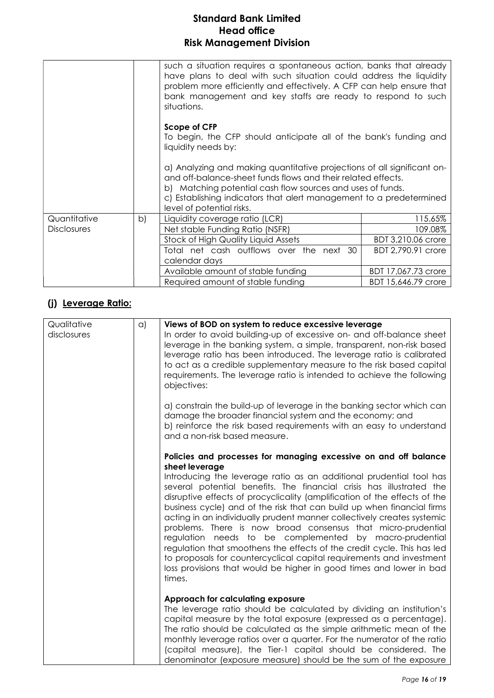|                    |    | such a situation requires a spontaneous action, banks that already<br>have plans to deal with such situation could address the liquidity<br>problem more efficiently and effectively. A CFP can help ensure that<br>bank management and key staffs are ready to respond to such<br>situations.            |                     |
|--------------------|----|-----------------------------------------------------------------------------------------------------------------------------------------------------------------------------------------------------------------------------------------------------------------------------------------------------------|---------------------|
|                    |    | Scope of CFP<br>To begin, the CFP should anticipate all of the bank's funding and<br>liquidity needs by:                                                                                                                                                                                                  |                     |
|                    |    | a) Analyzing and making quantitative projections of all significant on-<br>and off-balance-sheet funds flows and their related effects.<br>b) Matching potential cash flow sources and uses of funds.<br>c) Establishing indicators that alert management to a predetermined<br>level of potential risks. |                     |
| Quantitative       | b) | Liquidity coverage ratio (LCR)                                                                                                                                                                                                                                                                            | 115.65%             |
| <b>Disclosures</b> |    | Net stable Funding Ratio (NSFR)                                                                                                                                                                                                                                                                           | 109.08%             |
|                    |    | Stock of High Quality Liquid Assets                                                                                                                                                                                                                                                                       | BDT 3,210.06 crore  |
|                    |    | Total net cash outflows over the next 30                                                                                                                                                                                                                                                                  | BDT 2,790.91 crore  |
|                    |    | calendar days                                                                                                                                                                                                                                                                                             |                     |
|                    |    | Available amount of stable funding                                                                                                                                                                                                                                                                        | BDT 17,067.73 crore |
|                    |    | Required amount of stable funding                                                                                                                                                                                                                                                                         | BDT 15,646.79 crore |

# (j) Leverage Ratio:

| Qualitative<br>disclosures | $\alpha$ | Views of BOD on system to reduce excessive leverage<br>In order to avoid building-up of excessive on- and off-balance sheet<br>leverage in the banking system, a simple, transparent, non-risk based<br>leverage ratio has been introduced. The leverage ratio is calibrated<br>to act as a credible supplementary measure to the risk based capital<br>requirements. The leverage ratio is intended to achieve the following<br>objectives:                                                                                                                                                                                                                                                                                                                  |
|----------------------------|----------|---------------------------------------------------------------------------------------------------------------------------------------------------------------------------------------------------------------------------------------------------------------------------------------------------------------------------------------------------------------------------------------------------------------------------------------------------------------------------------------------------------------------------------------------------------------------------------------------------------------------------------------------------------------------------------------------------------------------------------------------------------------|
|                            |          | a) constrain the build-up of leverage in the banking sector which can<br>damage the broader financial system and the economy; and<br>b) reinforce the risk based requirements with an easy to understand<br>and a non-risk based measure.                                                                                                                                                                                                                                                                                                                                                                                                                                                                                                                     |
|                            |          | Policies and processes for managing excessive on and off balance                                                                                                                                                                                                                                                                                                                                                                                                                                                                                                                                                                                                                                                                                              |
|                            |          | sheet leverage<br>Introducing the leverage ratio as an additional prudential tool has<br>several potential benefits. The financial crisis has illustrated the<br>disruptive effects of procyclicality (amplification of the effects of the<br>business cycle) and of the risk that can build up when financial firms<br>acting in an individually prudent manner collectively creates systemic<br>problems. There is now broad consensus that micro-prudential<br>regulation needs to be complemented by macro-prudential<br>regulation that smoothens the effects of the credit cycle. This has led<br>to proposals for countercyclical capital requirements and investment<br>loss provisions that would be higher in good times and lower in bad<br>times. |
|                            |          | Approach for calculating exposure<br>The leverage ratio should be calculated by dividing an institution's<br>capital measure by the total exposure (expressed as a percentage).<br>The ratio should be calculated as the simple arithmetic mean of the<br>monthly leverage ratios over a quarter. For the numerator of the ratio<br>(capital measure), the Tier-1 capital should be considered. The<br>denominator (exposure measure) should be the sum of the exposure                                                                                                                                                                                                                                                                                       |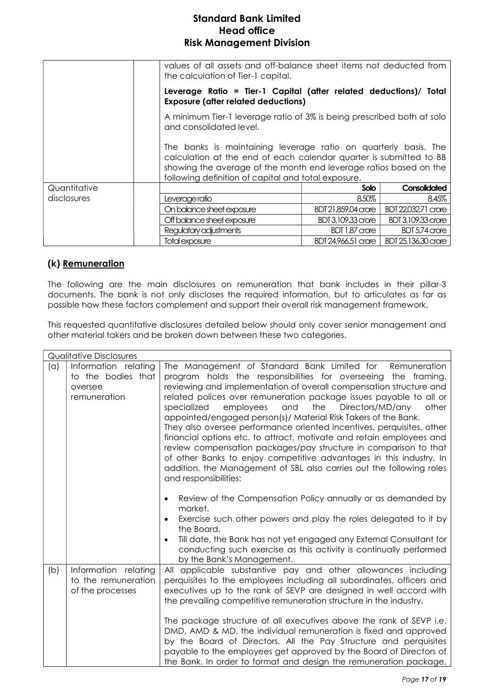|              | values of all assets and off-balance sheet items not deducted from<br>the calculation of Tier-1 capital.                                                                                                                                                          |                     |                           |  |
|--------------|-------------------------------------------------------------------------------------------------------------------------------------------------------------------------------------------------------------------------------------------------------------------|---------------------|---------------------------|--|
|              | Leverage Ratio = Tier-1 Capital (after related deductions)/ Total<br><b>Exposure (after related deductions)</b>                                                                                                                                                   |                     |                           |  |
|              | A minimum Tier-1 leverage ratio of 3% is being prescribed both at solo<br>and consolidated level.                                                                                                                                                                 |                     |                           |  |
|              | The banks is maintaining leverage ratio on quarterly basis. The<br>calculation at the end of each calendar quarter is submitted to BB<br>showing the average of the month end leverage ratios based on the<br>following definition of capital and total exposure. |                     |                           |  |
| Quantitative |                                                                                                                                                                                                                                                                   | <b>Solo</b>         | Consolidated              |  |
| disclosures  | Leverage ratio                                                                                                                                                                                                                                                    | 8.50%               | 8.45%                     |  |
|              | On balance sheet exposure                                                                                                                                                                                                                                         | BDT 21,859.04 crore | BDT 22,032.71 crore       |  |
|              | Off balance sheet exposure                                                                                                                                                                                                                                        | BDT 3,109.33 crore  | <b>BDT 3,109.33 crore</b> |  |
|              | Regulatory adjustments                                                                                                                                                                                                                                            | BDT 1.87 crore      | BDT 5.74 crore            |  |
|              | Total exposure                                                                                                                                                                                                                                                    | BDT 24,966.51 crore | BDT 25,136.30 crore       |  |

#### (k) Remuneration

The following are the main disclosures on remuneration that bank includes in their pillar-3 documents. The bank is not only discloses the required information, but to articulates as far as possible how these factors complement and support their overall risk management framework.

This requested quantitative disclosures detailed below should only cover senior management and other material takers and be broken down between these two categories.

|     | <b>Qualitative Disclosures</b>                                        |                                                                                                                                                                                                                                                                                                                                                                                                                                                                                                                                                                                                                                                                                                                                                                                                                                                                                                                                                                                          |  |
|-----|-----------------------------------------------------------------------|------------------------------------------------------------------------------------------------------------------------------------------------------------------------------------------------------------------------------------------------------------------------------------------------------------------------------------------------------------------------------------------------------------------------------------------------------------------------------------------------------------------------------------------------------------------------------------------------------------------------------------------------------------------------------------------------------------------------------------------------------------------------------------------------------------------------------------------------------------------------------------------------------------------------------------------------------------------------------------------|--|
| (a) | Information relating<br>to the bodies that<br>oversee<br>remuneration | The Management of Standard Bank Limited for<br>Remuneration<br>program holds the responsibilities for overseeing the framing,<br>reviewing and implementation of overall compensation structure and<br>related polices over remuneration package issues payable to all or<br>employees<br>the<br>Directors/MD/any<br>specialized<br>and<br>other<br>appointed/engaged person(s)/ Material Risk Takers of the Bank.<br>They also oversee performance oriented incentives, perquisites, other<br>financial options etc. to attract, motivate and retain employees and<br>review compensation packages/pay structure in comparison to that<br>of other Banks to enjoy competitive advantages in this industry. In<br>addition, the Management of SBL also carries out the following roles<br>and responsibilities:<br>Review of the Compensation Policy annually or as demanded by<br>$\bullet$<br>market.<br>Exercise such other powers and play the roles delegated to it by<br>$\bullet$ |  |
|     |                                                                       | the Board.<br>Till date, the Bank has not yet engaged any External Consultant for<br>$\bullet$<br>conducting such exercise as this activity is continually performed<br>by the Bank's Management.                                                                                                                                                                                                                                                                                                                                                                                                                                                                                                                                                                                                                                                                                                                                                                                        |  |
| (b) | Information relating<br>to the remuneration<br>of the processes       | All applicable substantive pay and other allowances including<br>perquisites to the employees including all subordinates, officers and<br>executives up to the rank of SEVP are designed in well accord with<br>the prevailing competitive remuneration structure in the industry.<br>The package structure of all executives above the rank of SEVP i.e.<br>DMD, AMD & MD, the individual remuneration is fixed and approved                                                                                                                                                                                                                                                                                                                                                                                                                                                                                                                                                            |  |
|     |                                                                       | by the Board of Directors. All the Pay Structure and perquisites<br>payable to the employees get approved by the Board of Directors of<br>the Bank. In order to format and design the remuneration package,                                                                                                                                                                                                                                                                                                                                                                                                                                                                                                                                                                                                                                                                                                                                                                              |  |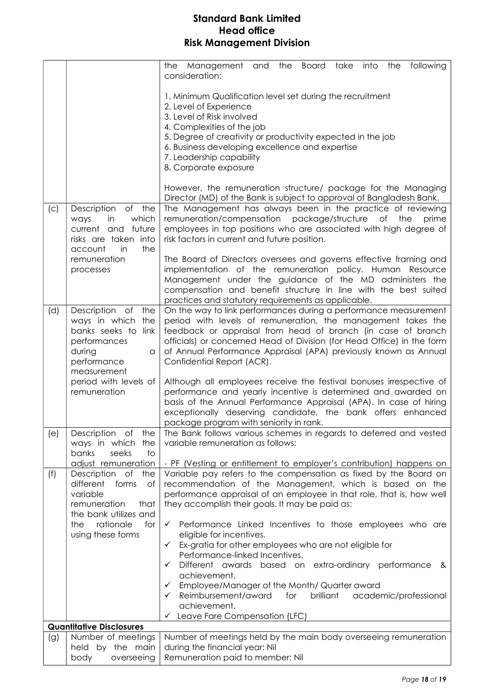|                                                                                                                                           |                                                                                                                                                                                                                                                                                                                            | the Management and the Board take into<br>following<br>the<br>consideration:                                                                                                                                                                                                                                                                                                                                                                                                                                                                                                                                     |
|-------------------------------------------------------------------------------------------------------------------------------------------|----------------------------------------------------------------------------------------------------------------------------------------------------------------------------------------------------------------------------------------------------------------------------------------------------------------------------|------------------------------------------------------------------------------------------------------------------------------------------------------------------------------------------------------------------------------------------------------------------------------------------------------------------------------------------------------------------------------------------------------------------------------------------------------------------------------------------------------------------------------------------------------------------------------------------------------------------|
|                                                                                                                                           |                                                                                                                                                                                                                                                                                                                            | 1. Minimum Qualification level set during the recruitment<br>2. Level of Experience<br>3. Level of Risk involved<br>4. Complexities of the job<br>5. Degree of creativity or productivity expected in the job<br>6. Business developing excellence and expertise<br>7. Leadership capability<br>8. Corporate exposure<br>However, the remuneration structure/ package for the Managing<br>Director (MD) of the Bank is subject to approval of Bangladesh Bank.                                                                                                                                                   |
| Description<br>of the<br>(C)<br>which<br>ways<br>in<br>current and future<br>risks are taken into<br>the<br>account<br>in<br>remuneration | The Management has always been in the practice of reviewing<br>remuneration/compensation package/structure<br>Оf<br>the<br>prime<br>employees in top positions who are associated with high degree of<br>risk factors in current and future position.<br>The Board of Directors oversees and governs effective framing and |                                                                                                                                                                                                                                                                                                                                                                                                                                                                                                                                                                                                                  |
|                                                                                                                                           | processes                                                                                                                                                                                                                                                                                                                  | implementation of the remuneration policy. Human Resource<br>Management under the guidance of the MD administers the<br>compensation and benefit structure in line with the best suited<br>practices and statutory requirements as applicable.                                                                                                                                                                                                                                                                                                                                                                   |
| (d)                                                                                                                                       | Description of<br>the<br>ways in which the<br>banks seeks to link<br>performances<br>during<br>a<br>performance<br>measurement<br>period with levels of<br>remuneration                                                                                                                                                    | On the way to link performances during a performance measurement<br>period with levels of remuneration, the management takes the<br>feedback or appraisal from head of branch (in case of branch<br>officials) or concerned Head of Division (for Head Office) in the form<br>of Annual Performance Appraisal (APA) previously known as Annual<br>Confidential Report (ACR).<br>Although all employees receive the festival bonuses irrespective of<br>performance and yearly incentive is determined and awarded on<br>basis of the Annual Performance Appraisal (APA). In case of hiring                       |
| (e)                                                                                                                                       | Description of<br>the                                                                                                                                                                                                                                                                                                      | exceptionally deserving candidate, the bank offers enhanced<br>package program with seniority in rank.<br>The Bank follows various schemes in regards to deferred and vested                                                                                                                                                                                                                                                                                                                                                                                                                                     |
|                                                                                                                                           | ways in which the<br>banks<br>seeks<br>to                                                                                                                                                                                                                                                                                  | variable remuneration as follows:                                                                                                                                                                                                                                                                                                                                                                                                                                                                                                                                                                                |
| (f)                                                                                                                                       | adjust remuneration<br>Description of<br>the<br>different<br>forms<br>Оf<br>variable<br>remuneration<br>that<br>the bank utilizes and<br>rationale<br>the<br>for<br>using these forms                                                                                                                                      | - PF (Vesting or entitlement to employer's contribution) happens on<br>Variable pay refers to the compensation as fixed by the Board on<br>recommendation of the Management, which is based on the<br>performance appraisal of an employee in that role, that is, how well<br>they accomplish their goals. It may be paid as:<br>$\checkmark$ Performance Linked Incentives to those employees who are<br>eligible for incentives.<br>$\checkmark$ Ex-gratia for other employees who are not eligible for<br>Performance-linked Incentives.<br>Different awards<br>based on extra-ordinary performance<br>✓<br>& |
|                                                                                                                                           |                                                                                                                                                                                                                                                                                                                            | achievement.<br>Employee/Manager of the Month/ Quarter award<br>✓<br>Reimbursement/award<br>for<br>brilliant<br>academic/professional<br>$\checkmark$<br>achievement.<br>$\checkmark$ Leave Fare Compensation (LFC)                                                                                                                                                                                                                                                                                                                                                                                              |
|                                                                                                                                           | <b>Quantitative Disclosures</b>                                                                                                                                                                                                                                                                                            |                                                                                                                                                                                                                                                                                                                                                                                                                                                                                                                                                                                                                  |
| (g)                                                                                                                                       | Number of meetings<br>held by the main<br>body<br>overseeing                                                                                                                                                                                                                                                               | Number of meetings held by the main body overseeing remuneration<br>during the financial year: Nil<br>Remuneration paid to member: Nil                                                                                                                                                                                                                                                                                                                                                                                                                                                                           |